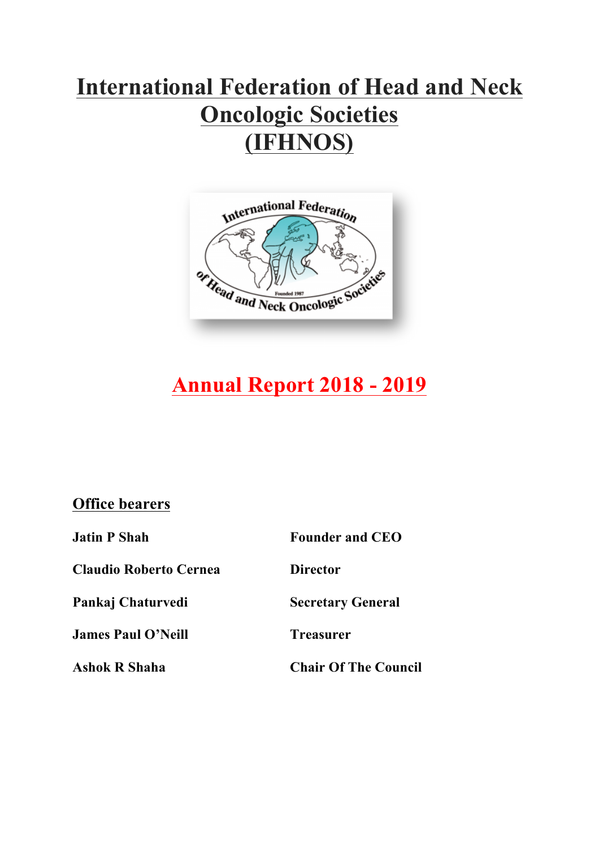# **International Federation of Head and Neck Oncologic Societies (IFHNOS)**



# **Annual Report 2018 - 2019**

## **Office bearers**

| <b>Jatin P Shah</b>           | <b>Founder and CEO</b>      |
|-------------------------------|-----------------------------|
| <b>Claudio Roberto Cernea</b> | <b>Director</b>             |
| Pankaj Chaturvedi             | <b>Secretary General</b>    |
| <b>James Paul O'Neill</b>     | <b>Treasurer</b>            |
| <b>Ashok R Shaha</b>          | <b>Chair Of The Council</b> |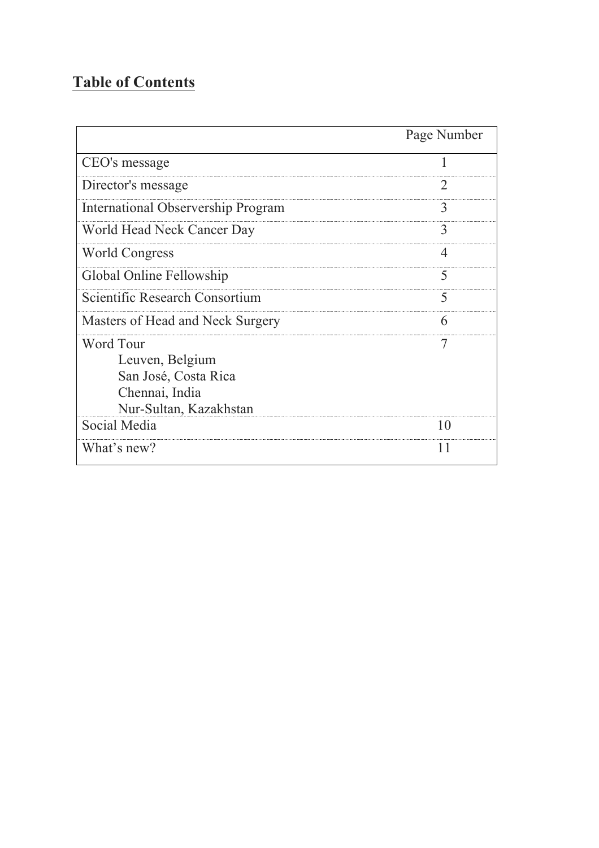## **Table of Contents**

|                                    | Page Number      |
|------------------------------------|------------------|
| CEO's message                      |                  |
| Director's message                 | $\sum_{i=1}^{n}$ |
| International Observership Program | 3                |
| World Head Neck Cancer Day         | $\mathcal{F}$    |
| <b>World Congress</b>              | $\overline{4}$   |
| Global Online Fellowship           | 5                |
| Scientific Research Consortium     | 5                |
| Masters of Head and Neck Surgery   | 6                |
| Word Tour                          |                  |
| Leuven, Belgium                    |                  |
| San José, Costa Rica               |                  |
| Chennai, India                     |                  |
| Nur-Sultan, Kazakhstan             |                  |
| Social Media                       | 10               |
| What's new?                        |                  |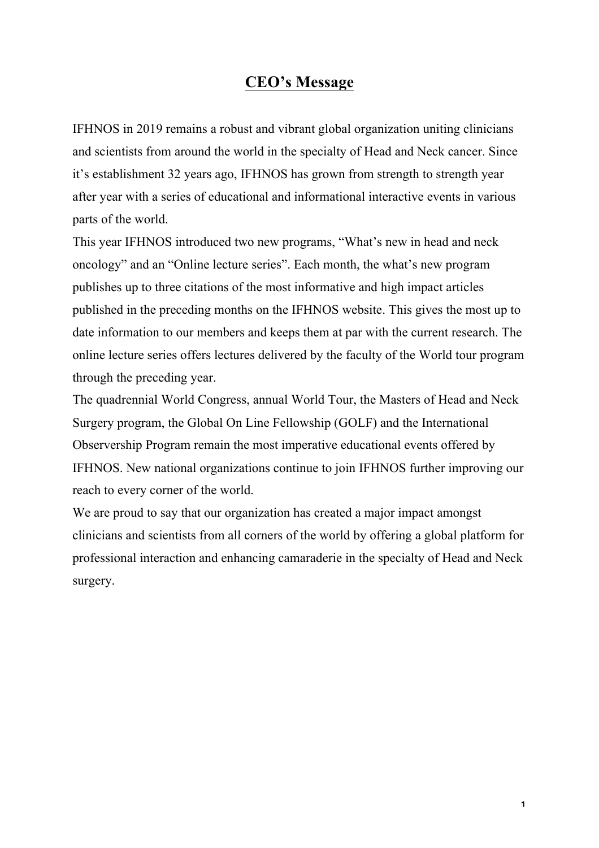## **CEO's Message**

IFHNOS in 2019 remains a robust and vibrant global organization uniting clinicians and scientists from around the world in the specialty of Head and Neck cancer. Since it's establishment 32 years ago, IFHNOS has grown from strength to strength year after year with a series of educational and informational interactive events in various parts of the world.

This year IFHNOS introduced two new programs, "What's new in head and neck oncology" and an "Online lecture series". Each month, the what's new program publishes up to three citations of the most informative and high impact articles published in the preceding months on the IFHNOS website. This gives the most up to date information to our members and keeps them at par with the current research. The online lecture series offers lectures delivered by the faculty of the World tour program through the preceding year.

The quadrennial World Congress, annual World Tour, the Masters of Head and Neck Surgery program, the Global On Line Fellowship (GOLF) and the International Observership Program remain the most imperative educational events offered by IFHNOS. New national organizations continue to join IFHNOS further improving our reach to every corner of the world.

We are proud to say that our organization has created a major impact amongst clinicians and scientists from all corners of the world by offering a global platform for professional interaction and enhancing camaraderie in the specialty of Head and Neck surgery.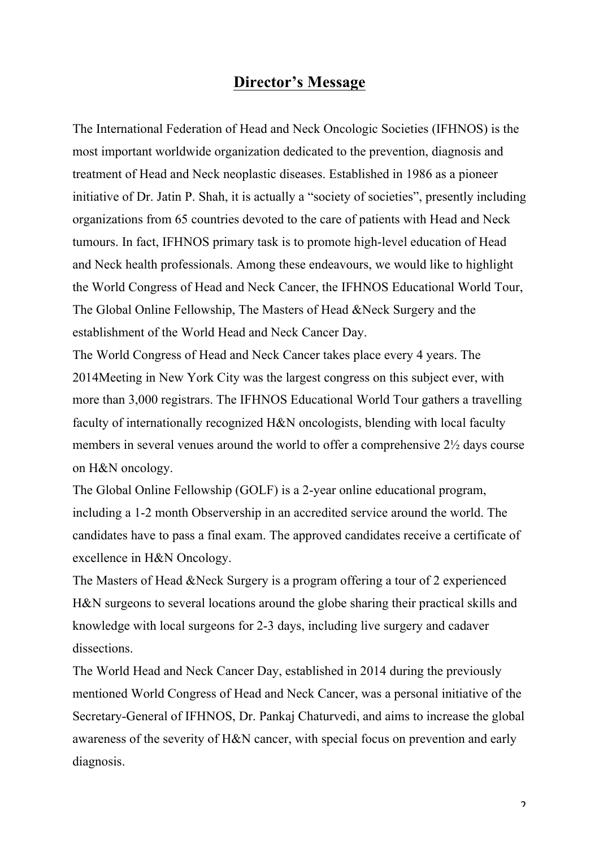## **Director's Message**

The International Federation of Head and Neck Oncologic Societies (IFHNOS) is the most important worldwide organization dedicated to the prevention, diagnosis and treatment of Head and Neck neoplastic diseases. Established in 1986 as a pioneer initiative of Dr. Jatin P. Shah, it is actually a "society of societies", presently including organizations from 65 countries devoted to the care of patients with Head and Neck tumours. In fact, IFHNOS primary task is to promote high-level education of Head and Neck health professionals. Among these endeavours, we would like to highlight the World Congress of Head and Neck Cancer, the IFHNOS Educational World Tour, The Global Online Fellowship, The Masters of Head &Neck Surgery and the establishment of the World Head and Neck Cancer Day.

The World Congress of Head and Neck Cancer takes place every 4 years. The 2014Meeting in New York City was the largest congress on this subject ever, with more than 3,000 registrars. The IFHNOS Educational World Tour gathers a travelling faculty of internationally recognized H&N oncologists, blending with local faculty members in several venues around the world to offer a comprehensive 2½ days course on H&N oncology.

The Global Online Fellowship (GOLF) is a 2-year online educational program, including a 1-2 month Observership in an accredited service around the world. The candidates have to pass a final exam. The approved candidates receive a certificate of excellence in H&N Oncology.

The Masters of Head &Neck Surgery is a program offering a tour of 2 experienced H&N surgeons to several locations around the globe sharing their practical skills and knowledge with local surgeons for 2-3 days, including live surgery and cadaver dissections.

The World Head and Neck Cancer Day, established in 2014 during the previously mentioned World Congress of Head and Neck Cancer, was a personal initiative of the Secretary-General of IFHNOS, Dr. Pankaj Chaturvedi, and aims to increase the global awareness of the severity of H&N cancer, with special focus on prevention and early diagnosis.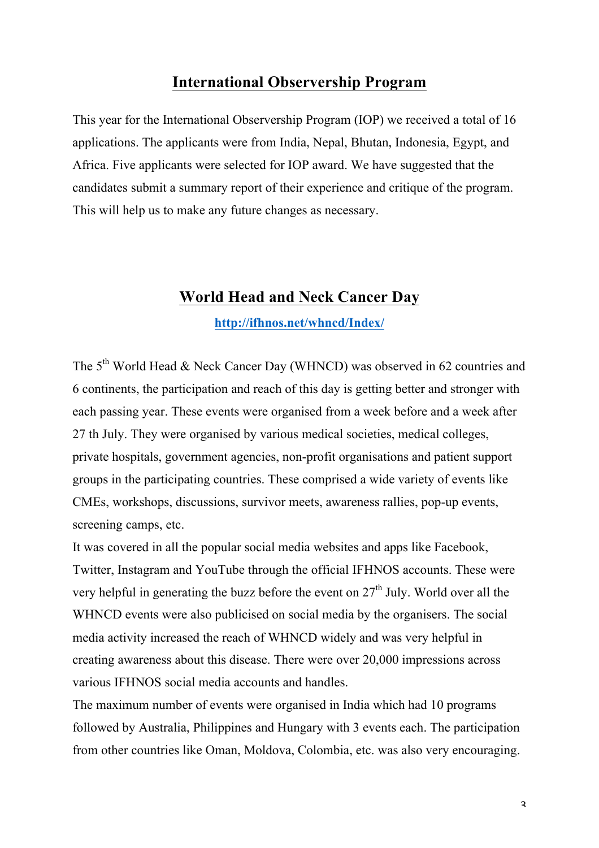## **International Observership Program**

This year for the International Observership Program (IOP) we received a total of 16 applications. The applicants were from India, Nepal, Bhutan, Indonesia, Egypt, and Africa. Five applicants were selected for IOP award. We have suggested that the candidates submit a summary report of their experience and critique of the program. This will help us to make any future changes as necessary.

## **World Head and Neck Cancer Day**

**http://ifhnos.net/whncd/Index/**

The 5<sup>th</sup> World Head & Neck Cancer Day (WHNCD) was observed in 62 countries and 6 continents, the participation and reach of this day is getting better and stronger with each passing year. These events were organised from a week before and a week after 27 th July. They were organised by various medical societies, medical colleges, private hospitals, government agencies, non-profit organisations and patient support groups in the participating countries. These comprised a wide variety of events like CMEs, workshops, discussions, survivor meets, awareness rallies, pop-up events, screening camps, etc.

It was covered in all the popular social media websites and apps like Facebook, Twitter, Instagram and YouTube through the official IFHNOS accounts. These were very helpful in generating the buzz before the event on  $27<sup>th</sup>$  July. World over all the WHNCD events were also publicised on social media by the organisers. The social media activity increased the reach of WHNCD widely and was very helpful in creating awareness about this disease. There were over 20,000 impressions across various IFHNOS social media accounts and handles.

The maximum number of events were organised in India which had 10 programs followed by Australia, Philippines and Hungary with 3 events each. The participation from other countries like Oman, Moldova, Colombia, etc. was also very encouraging.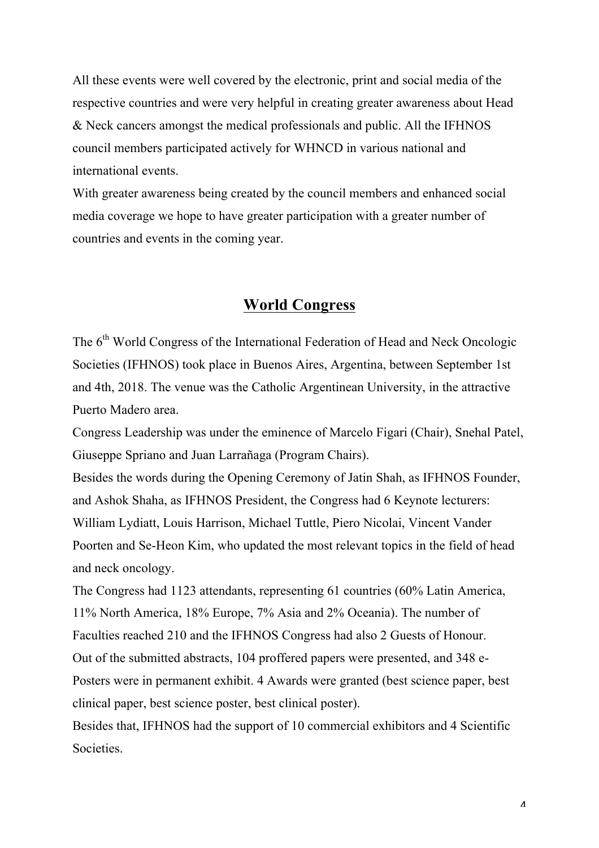All these events were well covered by the electronic, print and social media of the respective countries and were very helpful in creating greater awareness about Head & Neck cancers amongst the medical professionals and public. All the IFHNOS council members participated actively for WHNCD in various national and international events.

With greater awareness being created by the council members and enhanced social media coverage we hope to have greater participation with a greater number of countries and events in the coming year.

## **World Congress**

The 6<sup>th</sup> World Congress of the International Federation of Head and Neck Oncologic Societies (IFHNOS) took place in Buenos Aires, Argentina, between September 1st and 4th, 2018. The venue was the Catholic Argentinean University, in the attractive Puerto Madero area.

Congress Leadership was under the eminence of Marcelo Figari (Chair), Snehal Patel, Giuseppe Spriano and Juan Larrañaga (Program Chairs).

Besides the words during the Opening Ceremony of Jatin Shah, as IFHNOS Founder, and Ashok Shaha, as IFHNOS President, the Congress had 6 Keynote lecturers: William Lydiatt, Louis Harrison, Michael Tuttle, Piero Nicolai, Vincent Vander Poorten and Se-Heon Kim, who updated the most relevant topics in the field of head and neck oncology.

The Congress had 1123 attendants, representing 61 countries (60% Latin America, 11% North America, 18% Europe, 7% Asia and 2% Oceania). The number of Faculties reached 210 and the IFHNOS Congress had also 2 Guests of Honour. Out of the submitted abstracts, 104 proffered papers were presented, and 348 e-Posters were in permanent exhibit. 4 Awards were granted (best science paper, best clinical paper, best science poster, best clinical poster).

Besides that, IFHNOS had the support of 10 commercial exhibitors and 4 Scientific **Societies**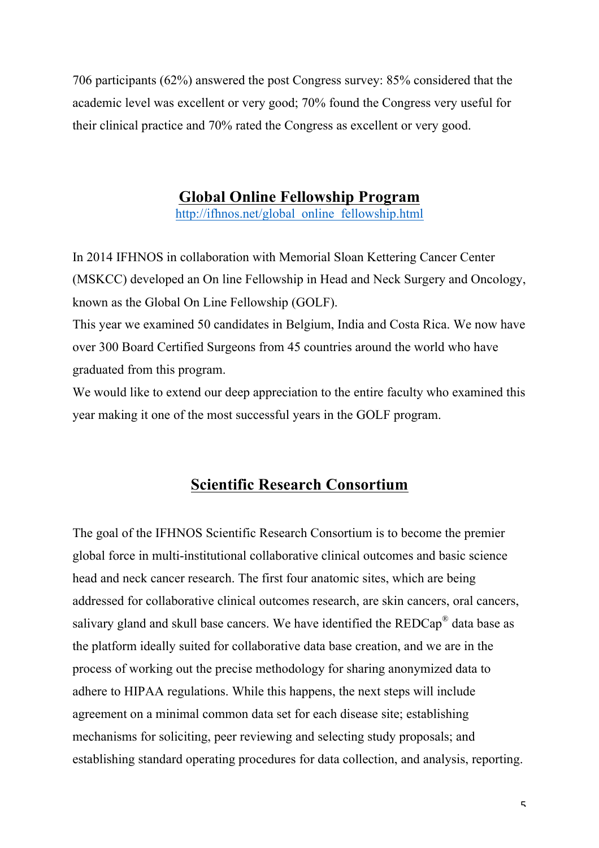706 participants (62%) answered the post Congress survey: 85% considered that the academic level was excellent or very good; 70% found the Congress very useful for their clinical practice and 70% rated the Congress as excellent or very good.

> **Global Online Fellowship Program** http://ifhnos.net/global\_online\_fellowship.html

In 2014 IFHNOS in collaboration with Memorial Sloan Kettering Cancer Center (MSKCC) developed an On line Fellowship in Head and Neck Surgery and Oncology, known as the Global On Line Fellowship (GOLF).

This year we examined 50 candidates in Belgium, India and Costa Rica. We now have over 300 Board Certified Surgeons from 45 countries around the world who have graduated from this program.

We would like to extend our deep appreciation to the entire faculty who examined this year making it one of the most successful years in the GOLF program.

## **Scientific Research Consortium**

The goal of the IFHNOS Scientific Research Consortium is to become the premier global force in multi-institutional collaborative clinical outcomes and basic science head and neck cancer research. The first four anatomic sites, which are being addressed for collaborative clinical outcomes research, are skin cancers, oral cancers, salivary gland and skull base cancers. We have identified the REDCap® data base as the platform ideally suited for collaborative data base creation, and we are in the process of working out the precise methodology for sharing anonymized data to adhere to HIPAA regulations. While this happens, the next steps will include agreement on a minimal common data set for each disease site; establishing mechanisms for soliciting, peer reviewing and selecting study proposals; and establishing standard operating procedures for data collection, and analysis, reporting.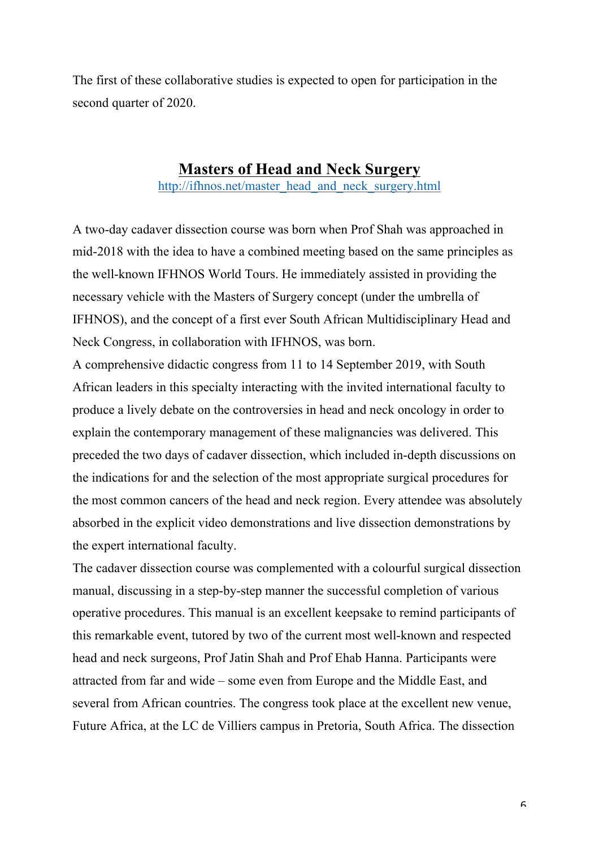The first of these collaborative studies is expected to open for participation in the second quarter of 2020.

### **Masters of Head and Neck Surgery**

http://ifhnos.net/master\_head\_and\_neck\_surgery.html

A two-day cadaver dissection course was born when Prof Shah was approached in mid-2018 with the idea to have a combined meeting based on the same principles as the well-known IFHNOS World Tours. He immediately assisted in providing the necessary vehicle with the Masters of Surgery concept (under the umbrella of IFHNOS), and the concept of a first ever South African Multidisciplinary Head and Neck Congress, in collaboration with IFHNOS, was born.

A comprehensive didactic congress from 11 to 14 September 2019, with South African leaders in this specialty interacting with the invited international faculty to produce a lively debate on the controversies in head and neck oncology in order to explain the contemporary management of these malignancies was delivered. This preceded the two days of cadaver dissection, which included in-depth discussions on the indications for and the selection of the most appropriate surgical procedures for the most common cancers of the head and neck region. Every attendee was absolutely absorbed in the explicit video demonstrations and live dissection demonstrations by the expert international faculty.

The cadaver dissection course was complemented with a colourful surgical dissection manual, discussing in a step-by-step manner the successful completion of various operative procedures. This manual is an excellent keepsake to remind participants of this remarkable event, tutored by two of the current most well-known and respected head and neck surgeons, Prof Jatin Shah and Prof Ehab Hanna. Participants were attracted from far and wide – some even from Europe and the Middle East, and several from African countries. The congress took place at the excellent new venue, Future Africa, at the LC de Villiers campus in Pretoria, South Africa. The dissection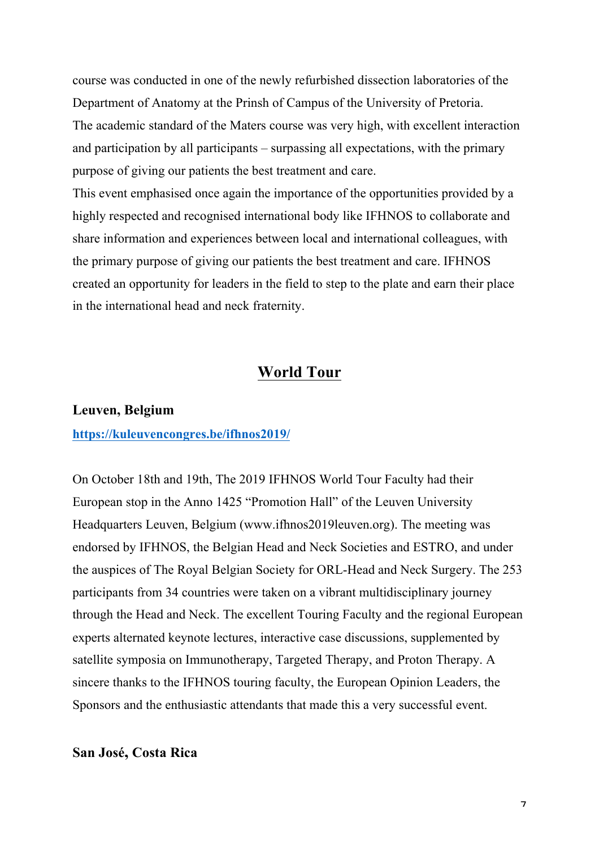course was conducted in one of the newly refurbished dissection laboratories of the Department of Anatomy at the Prinsh of Campus of the University of Pretoria. The academic standard of the Maters course was very high, with excellent interaction and participation by all participants – surpassing all expectations, with the primary purpose of giving our patients the best treatment and care.

This event emphasised once again the importance of the opportunities provided by a highly respected and recognised international body like IFHNOS to collaborate and share information and experiences between local and international colleagues, with the primary purpose of giving our patients the best treatment and care. IFHNOS created an opportunity for leaders in the field to step to the plate and earn their place in the international head and neck fraternity.

## **World Tour**

#### **Leuven, Belgium**

**https://kuleuvencongres.be/ifhnos2019/**

On October 18th and 19th, The 2019 IFHNOS World Tour Faculty had their European stop in the Anno 1425 "Promotion Hall" of the Leuven University Headquarters Leuven, Belgium (www.ifhnos2019leuven.org). The meeting was endorsed by IFHNOS, the Belgian Head and Neck Societies and ESTRO, and under the auspices of The Royal Belgian Society for ORL-Head and Neck Surgery. The 253 participants from 34 countries were taken on a vibrant multidisciplinary journey through the Head and Neck. The excellent Touring Faculty and the regional European experts alternated keynote lectures, interactive case discussions, supplemented by satellite symposia on Immunotherapy, Targeted Therapy, and Proton Therapy. A sincere thanks to the IFHNOS touring faculty, the European Opinion Leaders, the Sponsors and the enthusiastic attendants that made this a very successful event.

#### **San José, Costa Rica**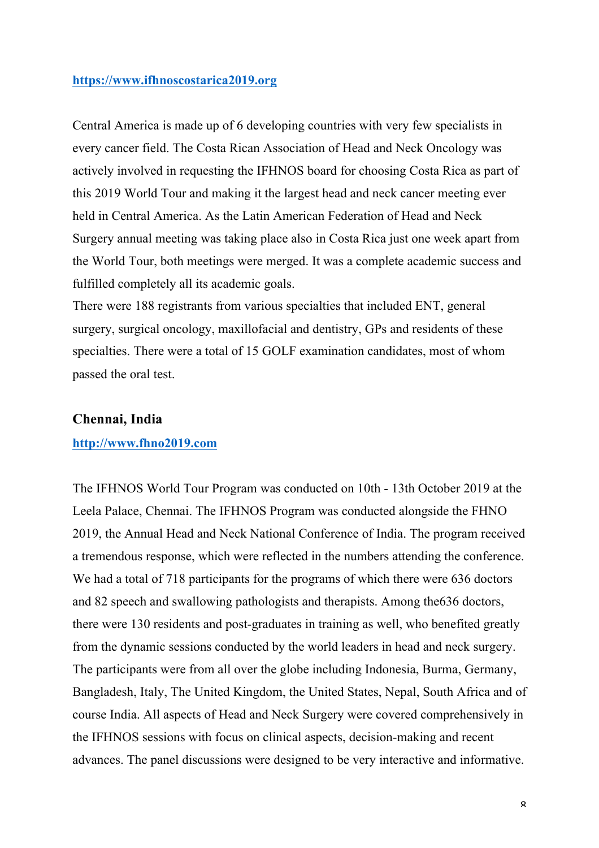#### **https://www.ifhnoscostarica2019.org**

Central America is made up of 6 developing countries with very few specialists in every cancer field. The Costa Rican Association of Head and Neck Oncology was actively involved in requesting the IFHNOS board for choosing Costa Rica as part of this 2019 World Tour and making it the largest head and neck cancer meeting ever held in Central America. As the Latin American Federation of Head and Neck Surgery annual meeting was taking place also in Costa Rica just one week apart from the World Tour, both meetings were merged. It was a complete academic success and fulfilled completely all its academic goals.

There were 188 registrants from various specialties that included ENT, general surgery, surgical oncology, maxillofacial and dentistry, GPs and residents of these specialties. There were a total of 15 GOLF examination candidates, most of whom passed the oral test.

#### **Chennai, India**

#### **http://www.fhno2019.com**

The IFHNOS World Tour Program was conducted on 10th - 13th October 2019 at the Leela Palace, Chennai. The IFHNOS Program was conducted alongside the FHNO 2019, the Annual Head and Neck National Conference of India. The program received a tremendous response, which were reflected in the numbers attending the conference. We had a total of 718 participants for the programs of which there were 636 doctors and 82 speech and swallowing pathologists and therapists. Among the636 doctors, there were 130 residents and post-graduates in training as well, who benefited greatly from the dynamic sessions conducted by the world leaders in head and neck surgery. The participants were from all over the globe including Indonesia, Burma, Germany, Bangladesh, Italy, The United Kingdom, the United States, Nepal, South Africa and of course India. All aspects of Head and Neck Surgery were covered comprehensively in the IFHNOS sessions with focus on clinical aspects, decision-making and recent advances. The panel discussions were designed to be very interactive and informative.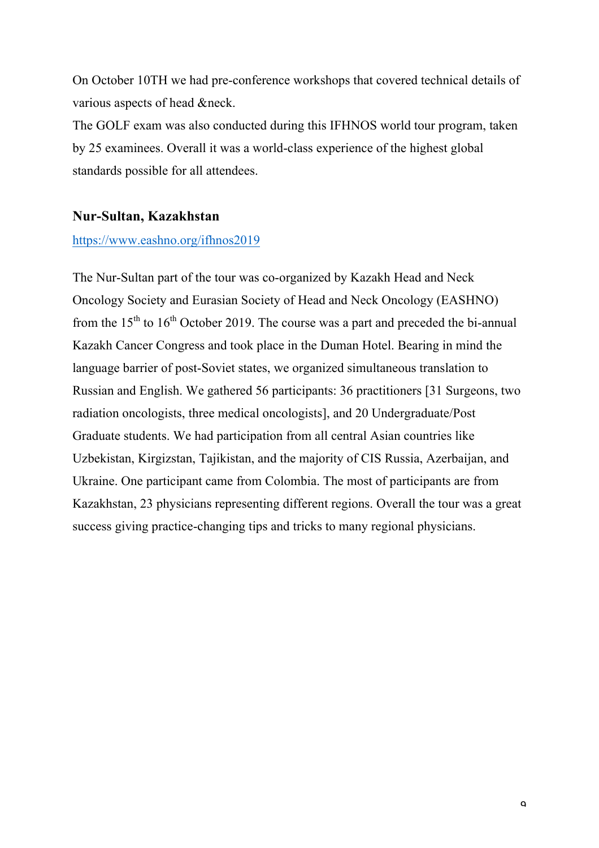On October 10TH we had pre-conference workshops that covered technical details of various aspects of head &neck.

The GOLF exam was also conducted during this IFHNOS world tour program, taken by 25 examinees. Overall it was a world-class experience of the highest global standards possible for all attendees.

## **Nur-Sultan, Kazakhstan**

### https://www.eashno.org/ifhnos2019

The Nur-Sultan part of the tour was co-organized by Kazakh Head and Neck Oncology Society and Eurasian Society of Head and Neck Oncology (EASHNO) from the  $15<sup>th</sup>$  to  $16<sup>th</sup>$  October 2019. The course was a part and preceded the bi-annual Kazakh Cancer Congress and took place in the Duman Hotel. Bearing in mind the language barrier of post-Soviet states, we organized simultaneous translation to Russian and English. We gathered 56 participants: 36 practitioners [31 Surgeons, two radiation oncologists, three medical oncologists], and 20 Undergraduate/Post Graduate students. We had participation from all central Asian countries like Uzbekistan, Kirgizstan, Tajikistan, and the majority of CIS Russia, Azerbaijan, and Ukraine. One participant came from Colombia. The most of participants are from Kazakhstan, 23 physicians representing different regions. Overall the tour was a great success giving practice-changing tips and tricks to many regional physicians.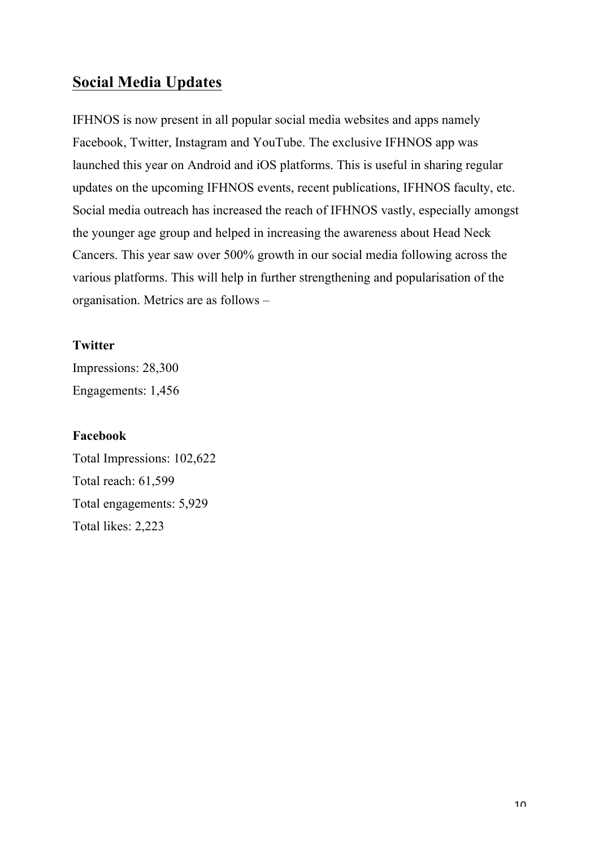## **Social Media Updates**

IFHNOS is now present in all popular social media websites and apps namely Facebook, Twitter, Instagram and YouTube. The exclusive IFHNOS app was launched this year on Android and iOS platforms. This is useful in sharing regular updates on the upcoming IFHNOS events, recent publications, IFHNOS faculty, etc. Social media outreach has increased the reach of IFHNOS vastly, especially amongst the younger age group and helped in increasing the awareness about Head Neck Cancers. This year saw over 500% growth in our social media following across the various platforms. This will help in further strengthening and popularisation of the organisation. Metrics are as follows –

#### **Twitter**

Impressions: 28,300 Engagements: 1,456

#### **Facebook**

Total Impressions: 102,622 Total reach: 61,599 Total engagements: 5,929 Total likes: 2,223